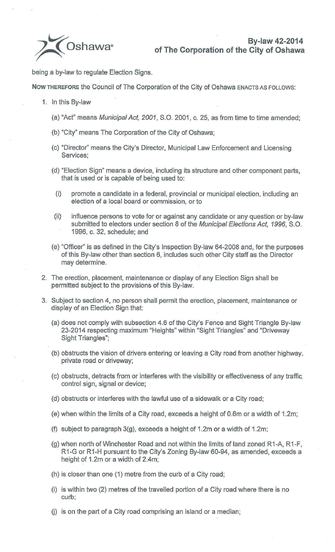being a by-law to regulate Election Signs.

**Now THEREFORE** the Council of The Corporation of the City of Oshawa ENACTS AS FOLLOWS:

- 1. In this By-law
	- (a) "Act" means Municipal Act, 2001, S.O. 2001, c. 25, as from time to time amended;
	- (b) "City" means The Corporation of the City of Oshawa;
	- (c) "Director" means the City's Director, Municipal Law Enforcement and Licensing Services;
	- (d) "Election Sign" means a device, including its structure and other component parts, that is used or is capable of being used to:
		- (i) promote a candidate in a federal, provincial or municipal election, including an election of a local board or commission, or to
	- (ii) influence persons to vote for or against any candidate or any question or by-law submitted to electors under section 8 of the Municipal Elections Act, 1996, S.O. 1996, c. 32, schedule; and
	- (e) "Officer" is as defined in the City's Inspection By-law 64-2008 and, for the purposes of this By-law other than section 6, includes such other City staff as the Director may determine.
- 2. The erection, placement, maintenance or display of any Election Sign shall be permitted subject to the provisions of this By-law.
- 3. Subject to section 4, no person shall permit the erection, placement, maintenance or display of an Election Sign that:
	- (a) does not comply with subsection 4.6 of the City's Fence and Sight Triangle By-law 23-2014 respecting maximum "Heights" within "Sight Triangles" and "Driveway Sight Triangles";
	- (b) obstructs the vision of drivers entering or leaving a City road from another highway, private road or driveway;
	- (c) obstructs, detracts from or interferes with the visibility or effectiveness of any traffic. control sign, signal or device;
	- (d) obstructs or interferes with the lawful use of a sidewalk or a City road;
	- (e) when within the limits of a City road, exceeds a height of 0.6m or a width of 1 .2m;
	- (f) subject to paragraph  $3(g)$ , exceeds a height of 1.2m or a width of 1.2m;
	- (g) when north of Winchester Road and not within the limits of land zoned R1 -A, R1 -F, R1-G or R1 -H pursuant to the City's Zoning By-law 60-94, as amended, exceeds a height of 1.2m or a width of 2.4m;
	- (h) is closer than one  $(1)$  metre from the curb of a City road;
	- $(i)$  is within two  $(2)$  metres of the travelled portion of a City road where there is no curb;
	- $(i)$  is on the part of a City road comprising an island or a median;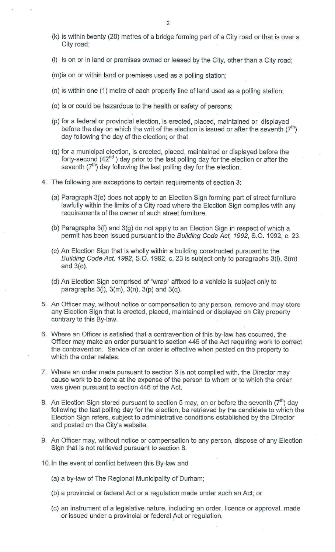- $(k)$  is within twenty (20) metres of a bridge forming part of a City road or that is over a City road;
- (I) is on or in land or premises owned or leased by the City, other than a City road;

(m)is on or within land or premises used as a polling station;

- (n) is within one (1) metre of each property line of land used as a polling station;
- (o) is or could be hazardous to the health or safety of persons;
- (p) for a federal or provincial election, is erected, placed, maintained or displayed before the day on which the writ of the election is issued or after the seventh  $(7<sup>th</sup>)$ day following the day of the election; or that
- (q) for a municipal election, is erected, placed, maintained or displayed before the forty-second  $(42<sup>nd</sup>)$  day prior to the last polling day for the election or after the seventh  $(7<sup>th</sup>)$  day following the last polling day for the election.
- 4. The following are exceptions to certain requirements of section 3:
	- (a) Paragraph 3(e) does not apply to an Election Sign forming part of street furniture lawfully within the limits of a City road where the Election Sign complies with any requirements of the owner of such street furniture.
	- (b) Paragraphs 3(f) and 3(g) do not apply to an Election Sign in respect of which a permit has been issued pursuant to the Building Code Act, 1992, S.O. 1992, c. 23.
	- (c) An Election Sign that is wholly within a building constructed pursuant to the Building Code Act, 1992, S.O. 1992, c. 23 is subject only to paragraphs 3(1), 3(m) and 3(o).
	- (d) An Election Sign comprised of "wrap" affixed to a vehicle is subject only to paragraphs  $3(1)$ ,  $3(m)$ ,  $3(n)$ ,  $3(p)$  and  $3(q)$ .
- 5. An Officer may, without notice or compensation to any person, remove and may store any Election Sign that is erected, placed, maintained or displayed on City property contrary to this By-law.
- 6. Where an Officer is satisfied that a contravention of this by-law has occurred, the Officer may make an order pursuant to section 445 of the Act requiring work to correct the contravention. Service of an order is effective when posted on the property to which the order relates.
- 7. Where an order made pursuant to section 6 is not complied with, the Director may cause work to be done at the expense of the person to whom or to which the order was given pursuant to section 446 of the Act.
- 8. An Election Sign stored pursuant to section 5 may, on or before the seventh  $(7^{th})$  day following the last polling day for the election, be retrieved by the candidate to which the Election Sign refers, subject to administrative conditions established by the Director and posted on the City's website.
- 9. An Officer may, without notice or compensation to any person, dispose of any Election Sign that is not retrieved pursuant to section 8.
- 10.1n the event of conflict between this By-law and
	- (a) a by-law of The Regional Municipality of Durham;
	- (b) a provincial or federal Act or a regulation made under such an Act; or
	- (c) an instrument of a legislative nature, including an order, licence or approval, made or issued under a provincial or federal Act or regulation,